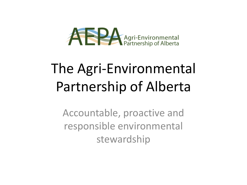

# The Agri-Environmental Partnership of Alberta

Accountable, proactive and responsible environmental stewardship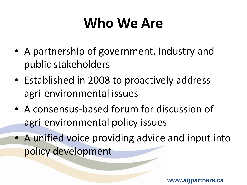# **Who We Are**

- A partnership of government, industry and public stakeholders
- Established in 2008 to proactively address agri-environmental issues
- A consensus-based forum for discussion of agri-environmental policy issues
- A unified voice providing advice and input into policy development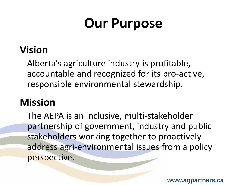## **Our Purpose**

### **Vision**

Alberta's agriculture industry is profitable, accountable and recognized for its pro-active, responsible environmental stewardship.

### **Mission**

The AEPA is an inclusive, multi-stakeholder partnership of government, industry and public stakeholders working together to proactively address agri-environmental issues from a policy perspective.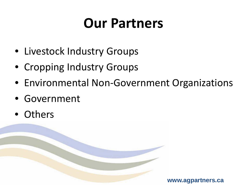## **Our Partners**

- Livestock Industry Groups
- Cropping Industry Groups
- Environmental Non-Government Organizations
- Government
- Others

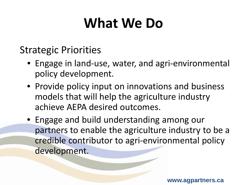## **What We Do**

#### Strategic Priorities

- Engage in land-use, water, and agri-environmental policy development.
- Provide policy input on innovations and business models that will help the agriculture industry achieve AEPA desired outcomes.
- Engage and build understanding among our partners to enable the agriculture industry to be a credible contributor to agri-environmental policy development.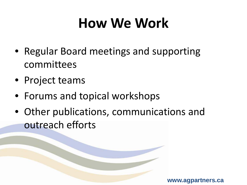# **How We Work**

- Regular Board meetings and supporting committees
- Project teams
- Forums and topical workshops
- Other publications, communications and outreach efforts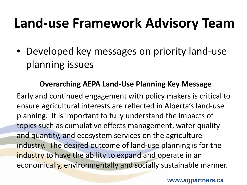### **Land-use Framework Advisory Team**

• Developed key messages on priority land-use planning issues

#### **Overarching AEPA Land-Use Planning Key Message**

Early and continued engagement with policy makers is critical to ensure agricultural interests are reflected in Alberta's land-use planning. It is important to fully understand the impacts of topics such as cumulative effects management, water quality and quantity, and ecosystem services on the agriculture industry. The desired outcome of land-use planning is for the industry to have the ability to expand and operate in an economically, environmentally and socially sustainable manner.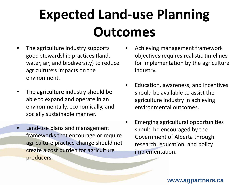# **Expected Land-use Planning Outcomes**

- The agriculture industry supports good stewardship practices (land, water, air, and biodiversity) to reduce agriculture's impacts on the environment.
- The agriculture industry should be able to expand and operate in an environmentally, economically, and socially sustainable manner.
- Land-use plans and management frameworks that encourage or require agriculture practice change should not create a cost burden for agriculture producers.
- Achieving management framework objectives requires realistic timelines for implementation by the agriculture industry.
- Education, awareness, and incentives should be available to assist the agriculture industry in achieving environmental outcomes.
- Emerging agricultural opportunities should be encouraged by the Government of Alberta through research, education, and policy implementation.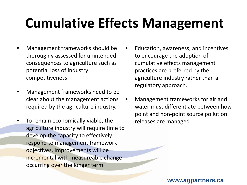## **Cumulative Effects Management**

- Management frameworks should be thoroughly assessed for unintended consequences to agriculture such as potential loss of industry competitiveness.
- Management frameworks need to be clear about the management actions required by the agriculture industry.
- To remain economically viable, the agriculture industry will require time to develop the capacity to effectively respond to management framework objectives. Improvements will be incremental with measureable change occurring over the longer term.
- Education, awareness, and incentives to encourage the adoption of cumulative effects management practices are preferred by the agriculture industry rather than a regulatory approach.
- Management frameworks for air and water must differentiate between how point and non-point source pollution releases are managed.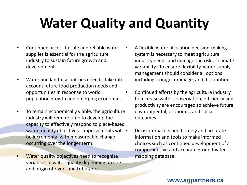# **Water Quality and Quantity**

- Continued access to safe and reliable water supplies is essential for the agriculture industry to sustain future growth and development.
- Water and land-use policies need to take into account future food production needs and opportunities in response to world population growth and emerging economies.
- To remain economically viable, the agriculture industry will require time to develop the capacity to effectively respond to place-based water quality objectives. Improvements will • be incremental with measureable change occurring over the longer term.
- Water quality objectives need to recognize variances in water quality depending on size and origin of rivers and tributaries.
- A flexible water allocation decision-making system is necessary to meet agriculture industry needs and manage the risk of climate variability. To ensure flexibility, water supply management should consider all options including storage, drainage, and distribution.
- Continued efforts by the agriculture industry to increase water conservation, efficiency and productivity are encouraged to achieve future environmental, economic, and social outcomes.
	- Decision-makers need timely and accurate information and tools to make informed choices such as continued development of a comprehensive and accurate groundwater mapping database.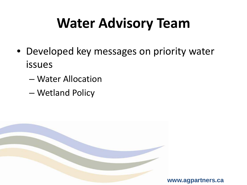# **Water Advisory Team**

- Developed key messages on priority water issues
	- Water Allocation
	- Wetland Policy

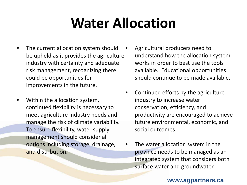# **Water Allocation**

- The current allocation system should be upheld as it provides the agriculture industry with certainty and adequate risk management, recognizing there could be opportunities for improvements in the future.
- Within the allocation system, continued flexibility is necessary to meet agriculture industry needs and manage the risk of climate variability. To ensure flexibility, water supply management should consider all options including storage, drainage, and distribution.
- Agricultural producers need to understand how the allocation system works in order to best use the tools available. Educational opportunities should continue to be made available.
- Continued efforts by the agriculture industry to increase water conservation, efficiency, and productivity are encouraged to achieve future environmental, economic, and social outcomes.
- The water allocation system in the province needs to be managed as an integrated system that considers both surface water and groundwater.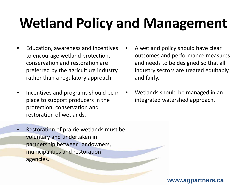# **Wetland Policy and Management**

- Education, awareness and incentives to encourage wetland protection, conservation and restoration are preferred by the agriculture industry rather than a regulatory approach.
- Incentives and programs should be in place to support producers in the protection, conservation and restoration of wetlands.
- Restoration of prairie wetlands must be voluntary and undertaken in partnership between landowners, municipalities and restoration agencies.
- A wetland policy should have clear outcomes and performance measures and needs to be designed so that all industry sectors are treated equitably and fairly.
- Wetlands should be managed in an integrated watershed approach.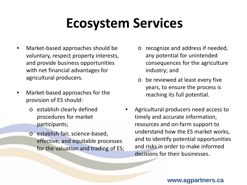## **Ecosystem Services**

- Market-based approaches should be voluntary, respect property interests, and provide business opportunities with net financial advantages for agricultural producers.
- Market-based approaches for the provision of ES should:
	- o establish clearly defined procedures for market participants;
	- o establish fair, science-based, effective, and equitable processes for the valuation and trading of ES;
- o recognize and address if needed, any potential for unintended consequences for the agriculture industry; and
- o be reviewed at least every five years, to ensure the process is reaching its full potential.
- Agricultural producers need access to timely and accurate information, resources and on-farm support to understand how the ES market works, and to identify potential opportunities and risks in order to make informed decisions for their businesses.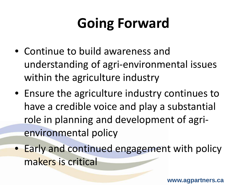# **Going Forward**

- Continue to build awareness and understanding of agri-environmental issues within the agriculture industry
- Ensure the agriculture industry continues to have a credible voice and play a substantial role in planning and development of agrienvironmental policy
- Early and continued engagement with policy makers is critical